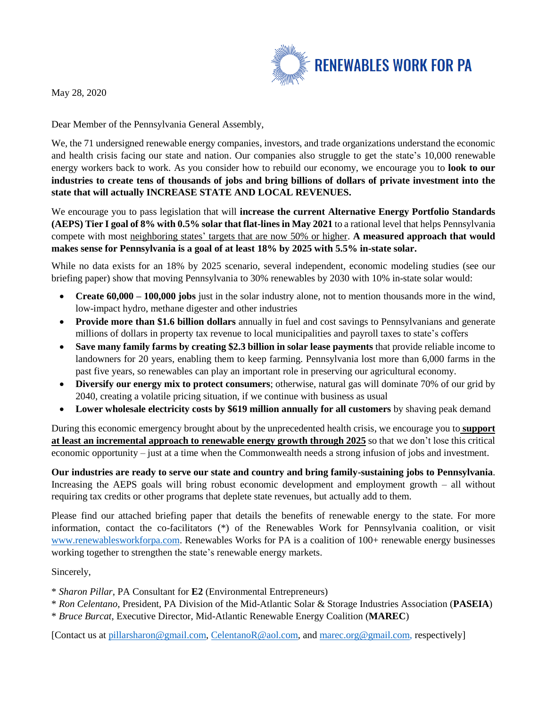

May 28, 2020

Dear Member of the Pennsylvania General Assembly,

We, the 71 undersigned renewable energy companies, investors, and trade organizations understand the economic and health crisis facing our state and nation. Our companies also struggle to get the state's 10,000 renewable energy workers back to work. As you consider how to rebuild our economy, we encourage you to **look to our industries to create tens of thousands of jobs and bring billions of dollars of private investment into the state that will actually INCREASE STATE AND LOCAL REVENUES.**

We encourage you to pass legislation that will **increase the current Alternative Energy Portfolio Standards (AEPS) Tier I goal of 8% with 0.5% solar that flat-lines in May 2021** to a rational level that helps Pennsylvania compete with most neighboring states' targets that are now 50% or higher. **A measured approach that would makes sense for Pennsylvania is a goal of at least 18% by 2025 with 5.5% in-state solar.**

While no data exists for an 18% by 2025 scenario, several independent, economic modeling studies (see our briefing paper) show that moving Pennsylvania to 30% renewables by 2030 with 10% in-state solar would:

- **Create 60,000 – 100,000 jobs** just in the solar industry alone, not to mention thousands more in the wind, low-impact hydro, methane digester and other industries
- **Provide more than \$1.6 billion dollars** annually in fuel and cost savings to Pennsylvanians and generate millions of dollars in property tax revenue to local municipalities and payroll taxes to state's coffers
- **Save many family farms by creating \$2.3 billion in solar lease payments** that provide reliable income to landowners for 20 years, enabling them to keep farming. Pennsylvania lost more than 6,000 farms in the past five years, so renewables can play an important role in preserving our agricultural economy.
- **Diversify our energy mix to protect consumers**; otherwise, natural gas will dominate 70% of our grid by 2040, creating a volatile pricing situation, if we continue with business as usual
- Lower wholesale electricity costs by \$619 million annually for all customers by shaving peak demand

During this economic emergency brought about by the unprecedented health crisis, we encourage you to **support at least an incremental approach to renewable energy growth through 2025** so that we don't lose this critical economic opportunity – just at a time when the Commonwealth needs a strong infusion of jobs and investment.

**Our industries are ready to serve our state and country and bring family-sustaining jobs to Pennsylvania**. Increasing the AEPS goals will bring robust economic development and employment growth – all without requiring tax credits or other programs that deplete state revenues, but actually add to them.

Please find our attached briefing paper that details the benefits of renewable energy to the state. For more information, contact the co-facilitators (\*) of the Renewables Work for Pennsylvania coalition, or visit [www.renewablesworkforpa.com.](about:blank) Renewables Works for PA is a coalition of 100+ renewable energy businesses working together to strengthen the state's renewable energy markets.

Sincerely,

- \* *Sharon Pillar*, PA Consultant for **E2** (Environmental Entrepreneurs)
- \* *Ron Celentano*, President, PA Division of the Mid-Atlantic Solar & Storage Industries Association (**PASEIA**)
- \* *Bruce Burcat*, Executive Director, Mid-Atlantic Renewable Energy Coalition (**MAREC**)

[Contact us at [pillarsharon@gmail.com, CelentanoR@aol.com,](about:blank) an[d marec.org@gmail.com,](about:blank) respectively]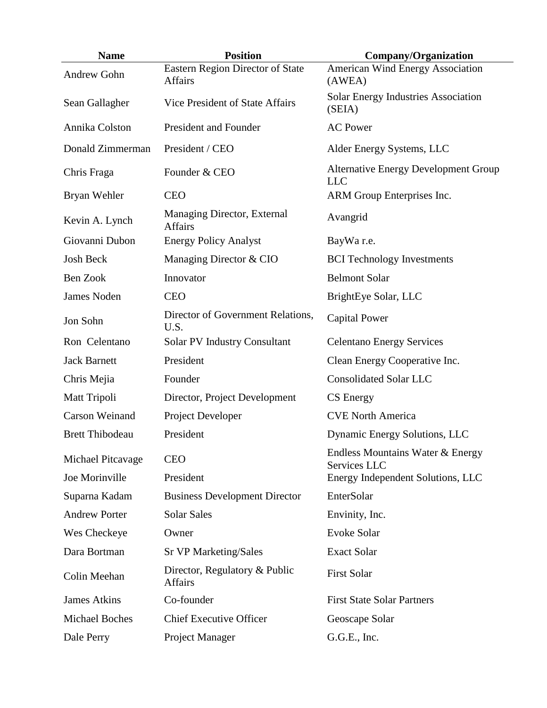| <b>Name</b>            | <b>Position</b>                                    | <b>Company/Organization</b>                               |
|------------------------|----------------------------------------------------|-----------------------------------------------------------|
| Andrew Gohn            | Eastern Region Director of State<br><b>Affairs</b> | American Wind Energy Association<br>(AWEA)                |
| Sean Gallagher         | Vice President of State Affairs                    | <b>Solar Energy Industries Association</b><br>(SEIA)      |
| Annika Colston         | President and Founder                              | <b>AC Power</b>                                           |
| Donald Zimmerman       | President / CEO                                    | Alder Energy Systems, LLC                                 |
| Chris Fraga            | Founder & CEO                                      | <b>Alternative Energy Development Group</b><br><b>LLC</b> |
| Bryan Wehler           | <b>CEO</b>                                         | ARM Group Enterprises Inc.                                |
| Kevin A. Lynch         | Managing Director, External<br><b>Affairs</b>      | Avangrid                                                  |
| Giovanni Dubon         | <b>Energy Policy Analyst</b>                       | BayWa r.e.                                                |
| <b>Josh Beck</b>       | Managing Director & CIO                            | <b>BCI</b> Technology Investments                         |
| Ben Zook               | Innovator                                          | <b>Belmont Solar</b>                                      |
| <b>James Noden</b>     | <b>CEO</b>                                         | BrightEye Solar, LLC                                      |
| Jon Sohn               | Director of Government Relations,<br>U.S.          | <b>Capital Power</b>                                      |
| Ron Celentano          | <b>Solar PV Industry Consultant</b>                | <b>Celentano Energy Services</b>                          |
| <b>Jack Barnett</b>    | President                                          | Clean Energy Cooperative Inc.                             |
| Chris Mejia            | Founder                                            | <b>Consolidated Solar LLC</b>                             |
| Matt Tripoli           | Director, Project Development                      | CS Energy                                                 |
| <b>Carson Weinand</b>  | Project Developer                                  | <b>CVE North America</b>                                  |
| <b>Brett Thibodeau</b> | President                                          | Dynamic Energy Solutions, LLC                             |
| Michael Pitcavage      | <b>CEO</b>                                         | Endless Mountains Water & Energy<br>Services LLC          |
| Joe Morinville         | President                                          | Energy Independent Solutions, LLC                         |
| Suparna Kadam          | <b>Business Development Director</b>               | EnterSolar                                                |
| <b>Andrew Porter</b>   | <b>Solar Sales</b>                                 | Envinity, Inc.                                            |
| Wes Checkeye           | Owner                                              | <b>Evoke Solar</b>                                        |
| Dara Bortman           | <b>Sr VP Marketing/Sales</b>                       | <b>Exact Solar</b>                                        |
| Colin Meehan           | Director, Regulatory & Public<br><b>Affairs</b>    | <b>First Solar</b>                                        |
| <b>James Atkins</b>    | Co-founder                                         | <b>First State Solar Partners</b>                         |
| <b>Michael Boches</b>  | <b>Chief Executive Officer</b>                     | Geoscape Solar                                            |
| Dale Perry             | Project Manager                                    | G.G.E., Inc.                                              |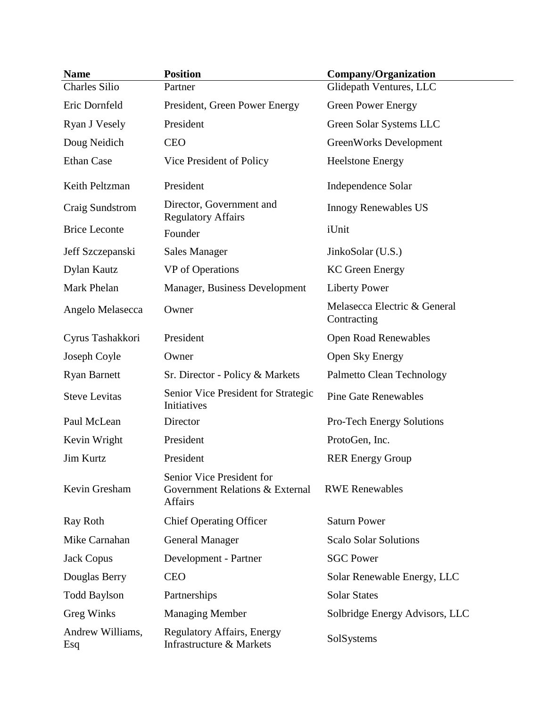| <b>Name</b>             | <b>Position</b>                                                                | <b>Company/Organization</b>                 |
|-------------------------|--------------------------------------------------------------------------------|---------------------------------------------|
| <b>Charles Silio</b>    | Partner                                                                        | Glidepath Ventures, LLC                     |
| Eric Dornfeld           | President, Green Power Energy                                                  | <b>Green Power Energy</b>                   |
| Ryan J Vesely           | President                                                                      | Green Solar Systems LLC                     |
| Doug Neidich            | <b>CEO</b>                                                                     | GreenWorks Development                      |
| <b>Ethan Case</b>       | Vice President of Policy                                                       | <b>Heelstone Energy</b>                     |
| Keith Peltzman          | President                                                                      | Independence Solar                          |
| Craig Sundstrom         | Director, Government and<br><b>Regulatory Affairs</b>                          | <b>Innogy Renewables US</b>                 |
| <b>Brice Leconte</b>    | Founder                                                                        | iUnit                                       |
| Jeff Szczepanski        | <b>Sales Manager</b>                                                           | JinkoSolar (U.S.)                           |
| Dylan Kautz             | VP of Operations                                                               | <b>KC</b> Green Energy                      |
| Mark Phelan             | Manager, Business Development                                                  | <b>Liberty Power</b>                        |
| Angelo Melasecca        | Owner                                                                          | Melasecca Electric & General<br>Contracting |
| Cyrus Tashakkori        | President                                                                      | <b>Open Road Renewables</b>                 |
| Joseph Coyle            | Owner                                                                          | Open Sky Energy                             |
| <b>Ryan Barnett</b>     | Sr. Director - Policy & Markets                                                | Palmetto Clean Technology                   |
| <b>Steve Levitas</b>    | Senior Vice President for Strategic<br>Initiatives                             | <b>Pine Gate Renewables</b>                 |
| Paul McLean             | Director                                                                       | <b>Pro-Tech Energy Solutions</b>            |
| Kevin Wright            | President                                                                      | ProtoGen, Inc.                              |
| Jim Kurtz               | President                                                                      | <b>RER Energy Group</b>                     |
| Kevin Gresham           | Senior Vice President for<br>Government Relations & External<br><b>Affairs</b> | <b>RWE Renewables</b>                       |
| Ray Roth                | <b>Chief Operating Officer</b>                                                 | <b>Saturn Power</b>                         |
| Mike Carnahan           | <b>General Manager</b>                                                         | <b>Scalo Solar Solutions</b>                |
| <b>Jack Copus</b>       | Development - Partner                                                          | <b>SGC Power</b>                            |
| Douglas Berry           | <b>CEO</b>                                                                     | Solar Renewable Energy, LLC                 |
| <b>Todd Baylson</b>     | Partnerships                                                                   | <b>Solar States</b>                         |
| <b>Greg Winks</b>       | <b>Managing Member</b>                                                         | Solbridge Energy Advisors, LLC              |
| Andrew Williams,<br>Esq | <b>Regulatory Affairs, Energy</b><br>Infrastructure & Markets                  | SolSystems                                  |